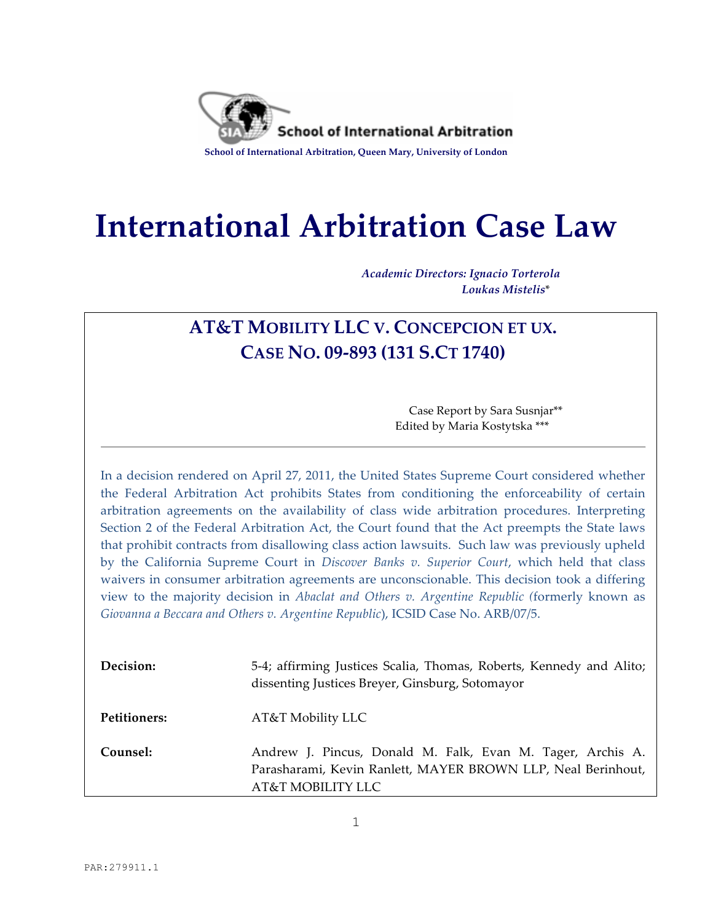

# **International Arbitration Case Law**

*Academic Directors: Ignacio Torterola Loukas Mistelis*\*

## **AT&T MOBILITY LLC V. CONCEPCION ET UX. CASE NO. 09-893 (131 S.CT 1740)**

Case Report by Sara Susnjar\*\* Edited by Maria Kostytska \*\*\*

In a decision rendered on April 27, 2011, the United States Supreme Court considered whether the Federal Arbitration Act prohibits States from conditioning the enforceability of certain arbitration agreements on the availability of class wide arbitration procedures. Interpreting Section 2 of the Federal Arbitration Act, the Court found that the Act preempts the State laws that prohibit contracts from disallowing class action lawsuits. Such law was previously upheld by the California Supreme Court in *Discover Banks v. Superior Court*, which held that class waivers in consumer arbitration agreements are unconscionable. This decision took a differing view to the majority decision in *Abaclat and Others v. Argentine Republic (*formerly known as *Giovanna a Beccara and Others v. Argentine Republic*), ICSID Case No. ARB/07/5.

| Decision:    | 5-4; affirming Justices Scalia, Thomas, Roberts, Kennedy and Alito;<br>dissenting Justices Breyer, Ginsburg, Sotomayor                          |
|--------------|-------------------------------------------------------------------------------------------------------------------------------------------------|
| Petitioners: | AT&T Mobility LLC                                                                                                                               |
| Counsel:     | Andrew J. Pincus, Donald M. Falk, Evan M. Tager, Archis A.<br>Parasharami, Kevin Ranlett, MAYER BROWN LLP, Neal Berinhout,<br>AT&T MOBILITY LLC |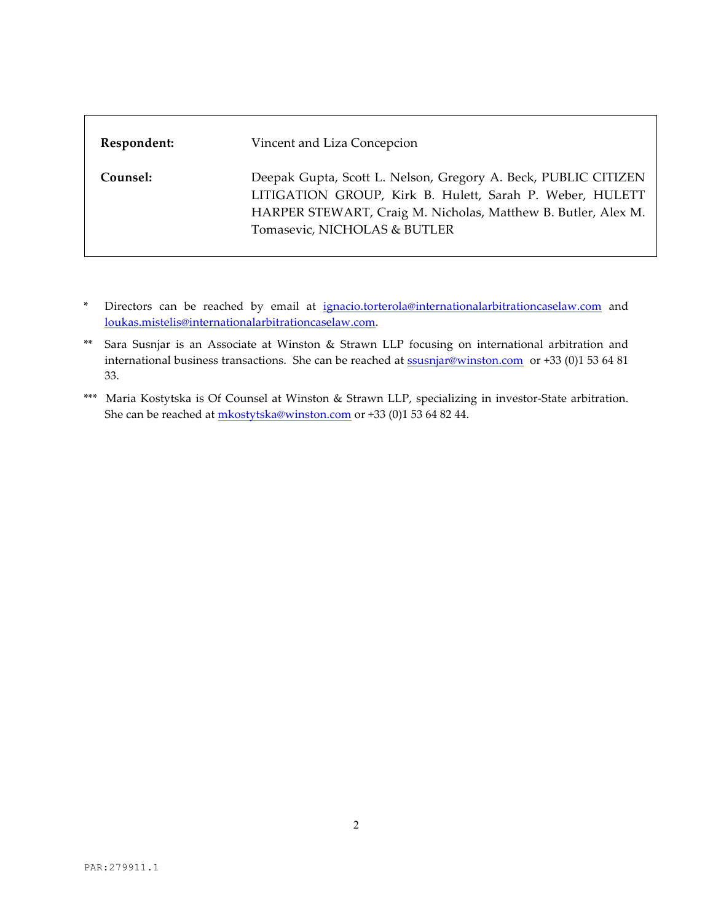| Respondent: | Vincent and Liza Concepcion                                                                                                                                                                                                 |
|-------------|-----------------------------------------------------------------------------------------------------------------------------------------------------------------------------------------------------------------------------|
| Counsel:    | Deepak Gupta, Scott L. Nelson, Gregory A. Beck, PUBLIC CITIZEN<br>LITIGATION GROUP, Kirk B. Hulett, Sarah P. Weber, HULETT<br>HARPER STEWART, Craig M. Nicholas, Matthew B. Butler, Alex M.<br>Tomasevic, NICHOLAS & BUTLER |

- \* Directors can be reached by email at ignacio.torterola@internationalarbitrationcaselaw.com and loukas.mistelis@internationalarbitrationcaselaw.com.
- \*\* Sara Susnjar is an Associate at Winston & Strawn LLP focusing on international arbitration and international business transactions. She can be reached at **ssusnjar@winston.com** or +33 (0)1 53 64 81 33.
- \*\*\* Maria Kostytska is Of Counsel at Winston & Strawn LLP, specializing in investor-State arbitration. She can be reached at mkostytska@winston.com or +33 (0)1 53 64 82 44.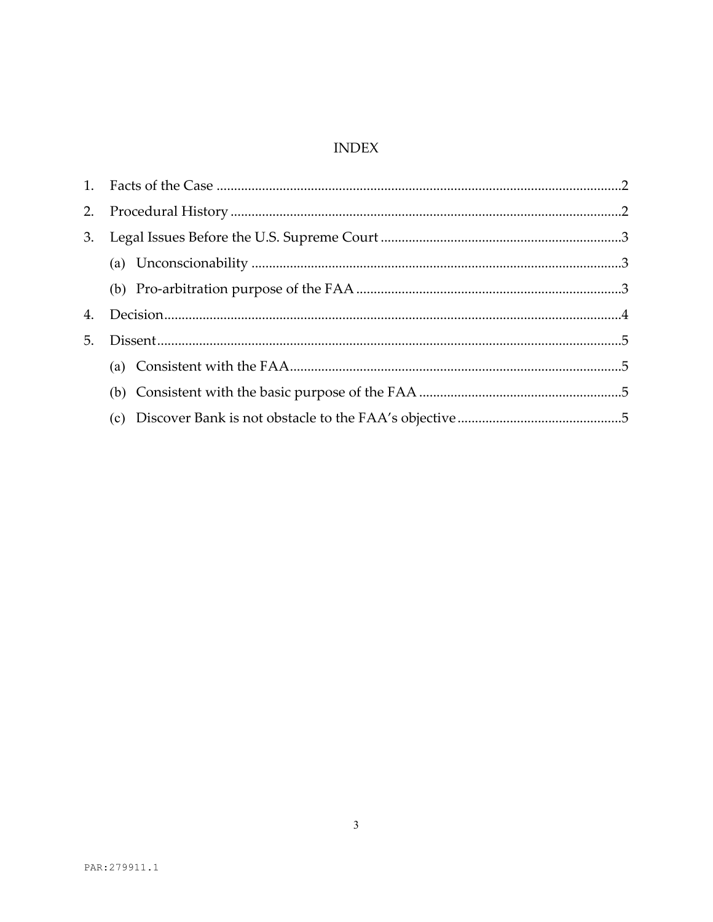### **INDEX**

| 2. |  |  |
|----|--|--|
| 3. |  |  |
|    |  |  |
|    |  |  |
| 4. |  |  |
| 5. |  |  |
|    |  |  |
|    |  |  |
|    |  |  |
|    |  |  |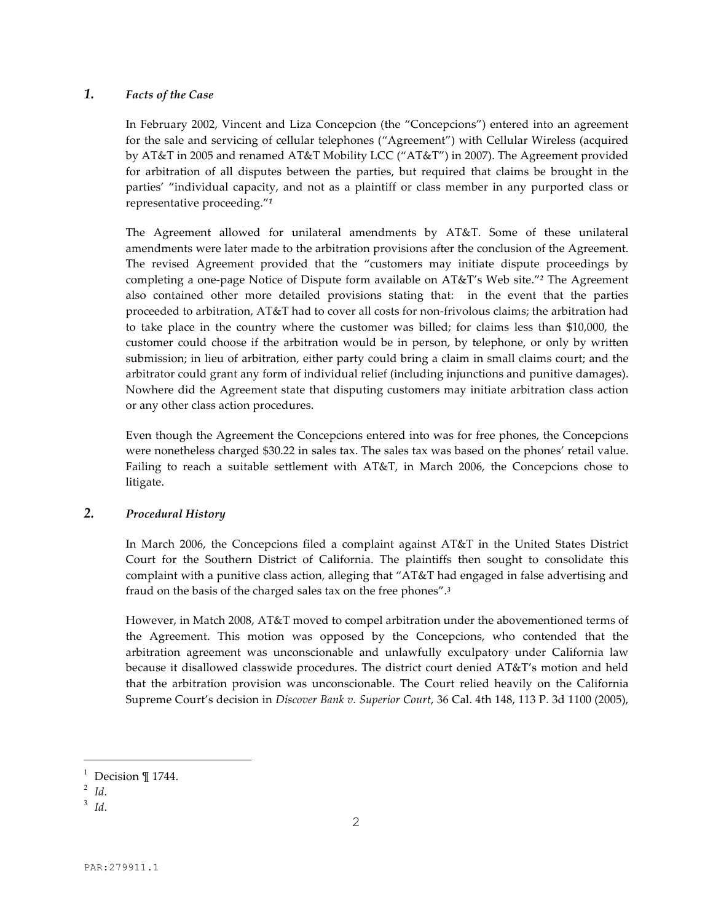#### *1. Facts of the Case*

In February 2002, Vincent and Liza Concepcion (the "Concepcions") entered into an agreement for the sale and servicing of cellular telephones ("Agreement") with Cellular Wireless (acquired by AT&T in 2005 and renamed AT&T Mobility LCC ("AT&T") in 2007). The Agreement provided for arbitration of all disputes between the parties, but required that claims be brought in the parties' "individual capacity, and not as a plaintiff or class member in any purported class or representative proceeding."*<sup>1</sup>*

The Agreement allowed for unilateral amendments by AT&T. Some of these unilateral amendments were later made to the arbitration provisions after the conclusion of the Agreement. The revised Agreement provided that the "customers may initiate dispute proceedings by completing a one-page Notice of Dispute form available on AT&T's Web site."*<sup>2</sup>* The Agreement also contained other more detailed provisions stating that: in the event that the parties proceeded to arbitration, AT&T had to cover all costs for non-frivolous claims; the arbitration had to take place in the country where the customer was billed; for claims less than \$10,000, the customer could choose if the arbitration would be in person, by telephone, or only by written submission; in lieu of arbitration, either party could bring a claim in small claims court; and the arbitrator could grant any form of individual relief (including injunctions and punitive damages). Nowhere did the Agreement state that disputing customers may initiate arbitration class action or any other class action procedures.

Even though the Agreement the Concepcions entered into was for free phones, the Concepcions were nonetheless charged \$30.22 in sales tax. The sales tax was based on the phones' retail value. Failing to reach a suitable settlement with AT&T, in March 2006, the Concepcions chose to litigate.

#### *2. Procedural History*

In March 2006, the Concepcions filed a complaint against AT&T in the United States District Court for the Southern District of California. The plaintiffs then sought to consolidate this complaint with a punitive class action, alleging that "AT&T had engaged in false advertising and fraud on the basis of the charged sales tax on the free phones".*<sup>3</sup>*

However, in Match 2008, AT&T moved to compel arbitration under the abovementioned terms of the Agreement. This motion was opposed by the Concepcions, who contended that the arbitration agreement was unconscionable and unlawfully exculpatory under California law because it disallowed classwide procedures. The district court denied AT&T's motion and held that the arbitration provision was unconscionable. The Court relied heavily on the California Supreme Court's decision in *Discover Bank v. Superior Court*, 36 Cal. 4th 148, 113 P. 3d 1100 (2005),

i

<sup>&</sup>lt;sup>1</sup> Decision ¶ 1744.

 $^2$  *Id.* 

<sup>3</sup> *Id*.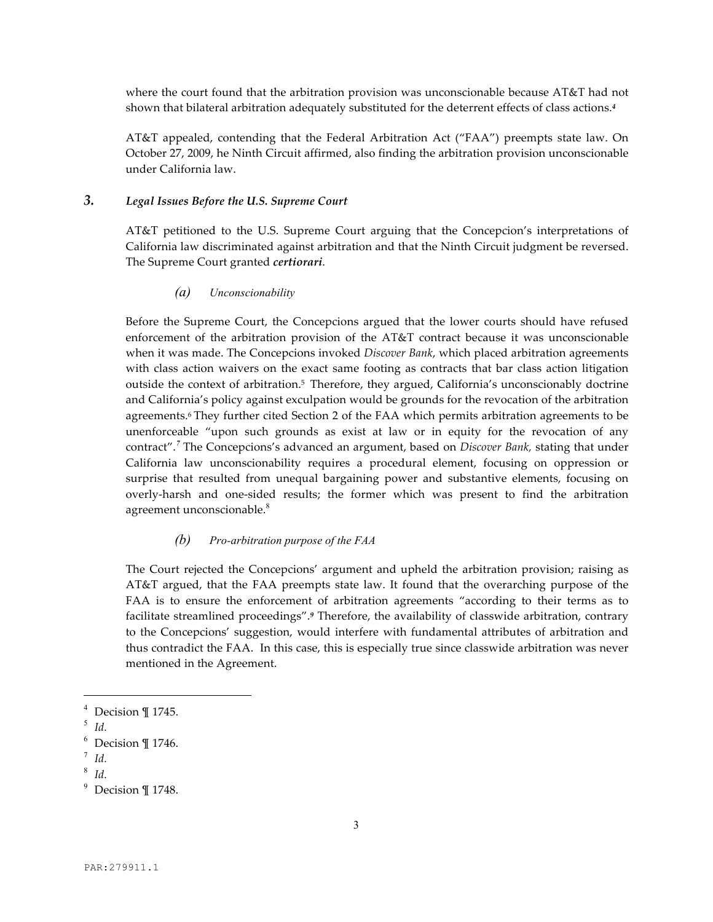where the court found that the arbitration provision was unconscionable because AT&T had not shown that bilateral arbitration adequately substituted for the deterrent effects of class actions.*<sup>4</sup>*

AT&T appealed, contending that the Federal Arbitration Act ("FAA") preempts state law. On October 27, 2009, he Ninth Circuit affirmed, also finding the arbitration provision unconscionable under California law.

#### *3. Legal Issues Before the U.S. Supreme Court*

AT&T petitioned to the U.S. Supreme Court arguing that the Concepcion's interpretations of California law discriminated against arbitration and that the Ninth Circuit judgment be reversed. The Supreme Court granted *certiorari*.

#### *(a) Unconscionability*

Before the Supreme Court, the Concepcions argued that the lower courts should have refused enforcement of the arbitration provision of the AT&T contract because it was unconscionable when it was made. The Concepcions invoked *Discover Bank*, which placed arbitration agreements with class action waivers on the exact same footing as contracts that bar class action litigation outside the context of arbitration.5 Therefore, they argued, California's unconscionably doctrine and California's policy against exculpation would be grounds for the revocation of the arbitration agreements.<sup>6</sup> They further cited Section 2 of the FAA which permits arbitration agreements to be unenforceable "upon such grounds as exist at law or in equity for the revocation of any contract".*<sup>7</sup>* The Concepcions's advanced an argument, based on *Discover Bank,* stating that under California law unconscionability requires a procedural element, focusing on oppression or surprise that resulted from unequal bargaining power and substantive elements, focusing on overly-harsh and one-sided results; the former which was present to find the arbitration agreement unconscionable.<sup>8</sup>

#### *(b) Pro-arbitration purpose of the FAA*

The Court rejected the Concepcions' argument and upheld the arbitration provision; raising as AT&T argued, that the FAA preempts state law. It found that the overarching purpose of the FAA is to ensure the enforcement of arbitration agreements "according to their terms as to facilitate streamlined proceedings".*<sup>9</sup>* Therefore, the availability of classwide arbitration, contrary to the Concepcions' suggestion, would interfere with fundamental attributes of arbitration and thus contradict the FAA. In this case, this is especially true since classwide arbitration was never mentioned in the Agreement.

i

 $^4$  Decision ¶ 1745.

<sup>5</sup> *Id.*

 $6$  Decision  $\P$  1746.

<sup>7</sup> *Id.*

<sup>8</sup> *Id.*

 $9$  Decision ¶ 1748.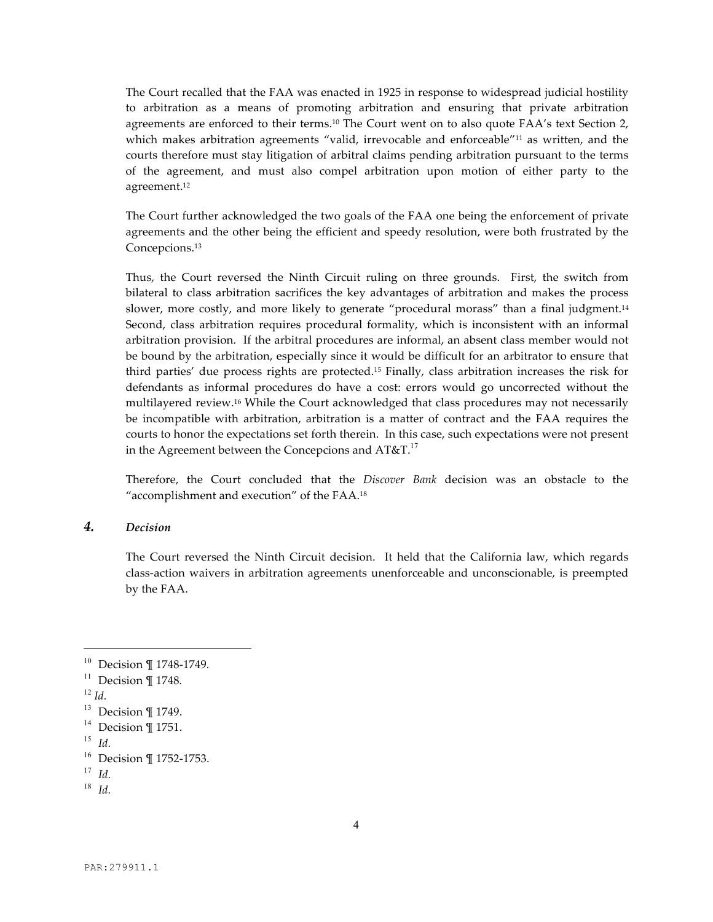The Court recalled that the FAA was enacted in 1925 in response to widespread judicial hostility to arbitration as a means of promoting arbitration and ensuring that private arbitration agreements are enforced to their terms.<sup>10</sup> The Court went on to also quote FAA's text Section 2, which makes arbitration agreements "valid, irrevocable and enforceable"<sup>11</sup> as written, and the courts therefore must stay litigation of arbitral claims pending arbitration pursuant to the terms of the agreement, and must also compel arbitration upon motion of either party to the agreement.12

The Court further acknowledged the two goals of the FAA one being the enforcement of private agreements and the other being the efficient and speedy resolution, were both frustrated by the Concepcions.13

Thus, the Court reversed the Ninth Circuit ruling on three grounds. First, the switch from bilateral to class arbitration sacrifices the key advantages of arbitration and makes the process slower, more costly, and more likely to generate "procedural morass" than a final judgment.<sup>14</sup> Second, class arbitration requires procedural formality, which is inconsistent with an informal arbitration provision. If the arbitral procedures are informal, an absent class member would not be bound by the arbitration, especially since it would be difficult for an arbitrator to ensure that third parties' due process rights are protected.15 Finally, class arbitration increases the risk for defendants as informal procedures do have a cost: errors would go uncorrected without the multilayered review.16 While the Court acknowledged that class procedures may not necessarily be incompatible with arbitration, arbitration is a matter of contract and the FAA requires the courts to honor the expectations set forth therein. In this case, such expectations were not present in the Agreement between the Concepcions and AT&T. $^{17}$ 

Therefore, the Court concluded that the *Discover Bank* decision was an obstacle to the "accomplishment and execution" of the FAA.18

#### *4. Decision*

The Court reversed the Ninth Circuit decision. It held that the California law, which regards class-action waivers in arbitration agreements unenforceable and unconscionable, is preempted by the FAA.

i<br>Li

<sup>10</sup> Decision ¶ 1748-1749*.*

<sup>11</sup> Decision ¶ 1748*.*

 $^{12}$  *Id.* 

<sup>&</sup>lt;sup>13</sup> Decision ¶ 1749.

 $14$  Decision ¶ 1751.

<sup>15</sup> *Id.*

<sup>16</sup> Decision ¶ 1752-1753.

<sup>17</sup> *Id.*

<sup>18</sup> *Id.*